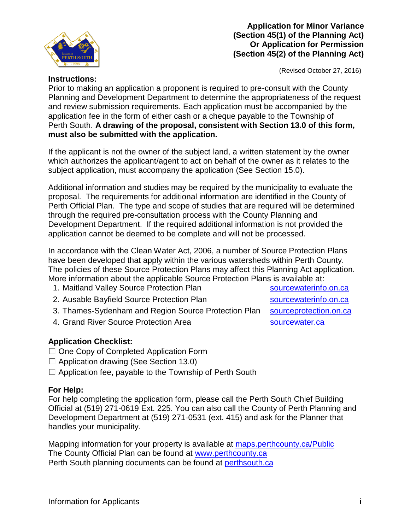

## **Application for Minor Variance (Section 45(1) of the Planning Act) Or Application for Permission (Section 45(2) of the Planning Act)**

(Revised October 27, 2016)

## **Instructions:**

Prior to making an application a proponent is required to pre-consult with the County Planning and Development Department to determine the appropriateness of the request and review submission requirements. Each application must be accompanied by the application fee in the form of either cash or a cheque payable to the Township of Perth South. **A drawing of the proposal, consistent with Section 13.0 of this form, must also be submitted with the application.**

If the applicant is not the owner of the subject land, a written statement by the owner which authorizes the applicant/agent to act on behalf of the owner as it relates to the subject application, must accompany the application (See Section 15.0).

Additional information and studies may be required by the municipality to evaluate the proposal. The requirements for additional information are identified in the County of Perth Official Plan. The type and scope of studies that are required will be determined through the required pre-consultation process with the County Planning and Development Department. If the required additional information is not provided the application cannot be deemed to be complete and will not be processed.

In accordance with the Clean Water Act, 2006, a number of Source Protection Plans have been developed that apply within the various watersheds within Perth County. The policies of these Source Protection Plans may affect this Planning Act application. More information about the applicable Source Protection Plans is available at:

- 1. Maitland Valley Source Protection Plan [sourcewaterinfo.on.ca](http://sourcewaterinfo.on.ca/)
- 2. Ausable Bayfield Source Protection Plan [sourcewaterinfo.on.ca](http://sourcewaterinfo.on.ca/)
- 3. Thames-Sydenham and Region Source Protection Plan [sourceprotection.on.ca](http://www.sourceprotection.on.ca/)

4. Grand River Source Protection Area strategy and [sourcewater.ca](http://www.sourcewater.ca/)

## **Application Checklist:**

- ☐ One Copy of Completed Application Form
- $\Box$  Application drawing (See Section 13.0)
- $\Box$  Application fee, payable to the Township of Perth South

## **For Help:**

For help completing the application form, please call the Perth South Chief Building Official at (519) 271-0619 Ext. 225. You can also call the County of Perth Planning and Development Department at (519) 271-0531 (ext. 415) and ask for the Planner that handles your municipality.

Mapping information for your property is available at<maps.perthcounty.ca/Public> The County Official Plan can be found at [www.perthcounty.ca](http://www.perthcounty.ca/County_of_Perth_Official_Plan) Perth South planning documents can be found at [perthsouth.ca](http://www.perthsouth.ca/content/planning)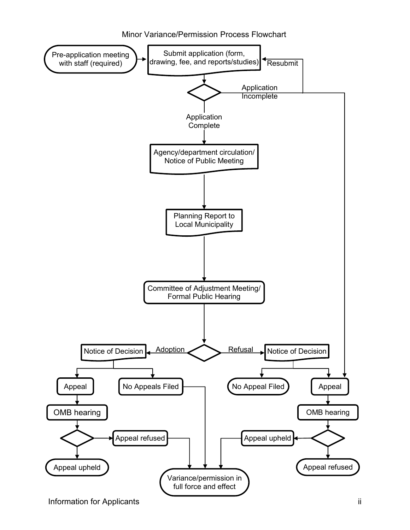Minor Variance/Permission Process Flowchart

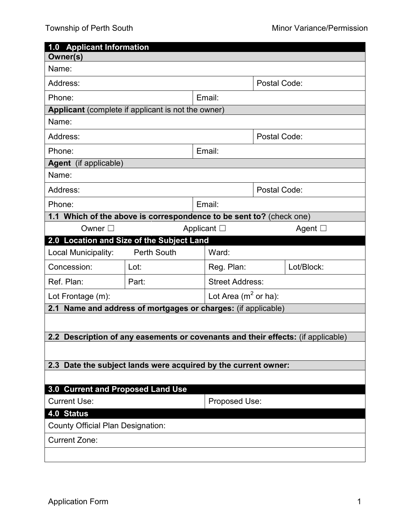|                                                                                  | 1.0 Applicant Information                                           |                         |              |              |  |  |
|----------------------------------------------------------------------------------|---------------------------------------------------------------------|-------------------------|--------------|--------------|--|--|
| Owner(s)                                                                         |                                                                     |                         |              |              |  |  |
| Name:                                                                            |                                                                     |                         |              |              |  |  |
| Address:                                                                         |                                                                     | Postal Code:            |              |              |  |  |
| Phone:                                                                           |                                                                     | Email:                  |              |              |  |  |
| Applicant (complete if applicant is not the owner)                               |                                                                     |                         |              |              |  |  |
| Name:                                                                            |                                                                     |                         |              |              |  |  |
| Address:                                                                         |                                                                     |                         |              | Postal Code: |  |  |
| Phone:                                                                           |                                                                     | Email:                  |              |              |  |  |
| Agent (if applicable)                                                            |                                                                     |                         |              |              |  |  |
| Name:                                                                            |                                                                     |                         |              |              |  |  |
| Address:                                                                         |                                                                     |                         | Postal Code: |              |  |  |
| Phone:                                                                           |                                                                     | Email:                  |              |              |  |  |
|                                                                                  | 1.1 Which of the above is correspondence to be sent to? (check one) |                         |              |              |  |  |
| Owner $\square$                                                                  | Applicant $\Box$<br>Agent $\square$                                 |                         |              |              |  |  |
| 2.0 Location and Size of the Subject Land                                        |                                                                     |                         |              |              |  |  |
| Local Municipality:                                                              | <b>Perth South</b>                                                  | Ward:                   |              |              |  |  |
| Concession:                                                                      | Lot:                                                                | Reg. Plan:              |              | Lot/Block:   |  |  |
| Ref. Plan:                                                                       | Part:                                                               | <b>Street Address:</b>  |              |              |  |  |
| Lot Frontage (m):                                                                |                                                                     | Lot Area ( $m2$ or ha): |              |              |  |  |
| 2.1 Name and address of mortgages or charges: (if applicable)                    |                                                                     |                         |              |              |  |  |
|                                                                                  |                                                                     |                         |              |              |  |  |
| 2.2 Description of any easements or covenants and their effects: (if applicable) |                                                                     |                         |              |              |  |  |
|                                                                                  |                                                                     |                         |              |              |  |  |
| Date the subject lands were acquired by the current owner:<br>2.3                |                                                                     |                         |              |              |  |  |
|                                                                                  |                                                                     |                         |              |              |  |  |
| 3.0 Current and Proposed Land Use                                                |                                                                     |                         |              |              |  |  |
| <b>Current Use:</b>                                                              | Proposed Use:                                                       |                         |              |              |  |  |
| 4.0 Status                                                                       |                                                                     |                         |              |              |  |  |
| <b>County Official Plan Designation:</b>                                         |                                                                     |                         |              |              |  |  |
| <b>Current Zone:</b>                                                             |                                                                     |                         |              |              |  |  |
|                                                                                  |                                                                     |                         |              |              |  |  |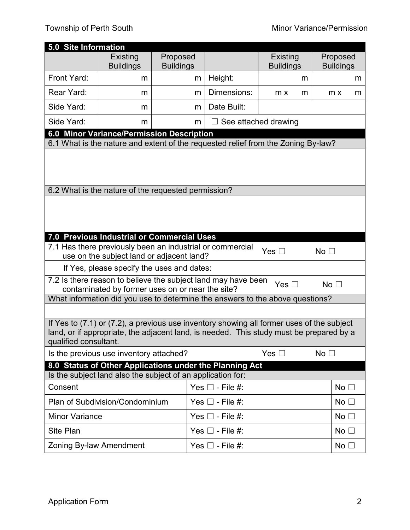|                                                                                                                                                                                                               | 5.0 Site Information                                |                              |                                                                                   |                              |                              |  |  |
|---------------------------------------------------------------------------------------------------------------------------------------------------------------------------------------------------------------|-----------------------------------------------------|------------------------------|-----------------------------------------------------------------------------------|------------------------------|------------------------------|--|--|
|                                                                                                                                                                                                               | Existing<br><b>Buildings</b>                        | Proposed<br><b>Buildings</b> |                                                                                   | Existing<br><b>Buildings</b> | Proposed<br><b>Buildings</b> |  |  |
| Front Yard:                                                                                                                                                                                                   | m                                                   | m                            | Height:                                                                           | m                            | m                            |  |  |
| Rear Yard:                                                                                                                                                                                                    | m                                                   | m                            | Dimensions:                                                                       | m x<br>m                     | m x<br>m                     |  |  |
| Side Yard:                                                                                                                                                                                                    | m                                                   | m                            | Date Built:                                                                       |                              |                              |  |  |
| Side Yard:                                                                                                                                                                                                    | m                                                   | m                            |                                                                                   | See attached drawing         |                              |  |  |
|                                                                                                                                                                                                               | 6.0 Minor Variance/Permission Description           |                              |                                                                                   |                              |                              |  |  |
|                                                                                                                                                                                                               |                                                     |                              | 6.1 What is the nature and extent of the requested relief from the Zoning By-law? |                              |                              |  |  |
|                                                                                                                                                                                                               |                                                     |                              |                                                                                   |                              |                              |  |  |
|                                                                                                                                                                                                               | 6.2 What is the nature of the requested permission? |                              |                                                                                   |                              |                              |  |  |
|                                                                                                                                                                                                               |                                                     |                              |                                                                                   |                              |                              |  |  |
|                                                                                                                                                                                                               |                                                     |                              |                                                                                   |                              |                              |  |  |
|                                                                                                                                                                                                               |                                                     |                              |                                                                                   |                              |                              |  |  |
|                                                                                                                                                                                                               | 7.0 Previous Industrial or Commercial Uses          |                              |                                                                                   |                              |                              |  |  |
| 7.1 Has there previously been an industrial or commercial<br>Yes $\square$<br>No <sub>1</sub>                                                                                                                 |                                                     |                              |                                                                                   |                              |                              |  |  |
| use on the subject land or adjacent land?<br>If Yes, please specify the uses and dates:                                                                                                                       |                                                     |                              |                                                                                   |                              |                              |  |  |
| 7.2 Is there reason to believe the subject land may have been                                                                                                                                                 |                                                     |                              |                                                                                   |                              |                              |  |  |
| No <sub>1</sub><br>Yes $\square$<br>contaminated by former uses on or near the site?                                                                                                                          |                                                     |                              |                                                                                   |                              |                              |  |  |
| What information did you use to determine the answers to the above questions?                                                                                                                                 |                                                     |                              |                                                                                   |                              |                              |  |  |
|                                                                                                                                                                                                               |                                                     |                              |                                                                                   |                              |                              |  |  |
| If Yes to (7.1) or (7.2), a previous use inventory showing all former uses of the subject<br>land, or if appropriate, the adjacent land, is needed. This study must be prepared by a<br>qualified consultant. |                                                     |                              |                                                                                   |                              |                              |  |  |
|                                                                                                                                                                                                               | Is the previous use inventory attached?             |                              |                                                                                   | Yes $\square$                | No <sub>1</sub>              |  |  |
| 8.0 Status of Other Applications under the Planning Act                                                                                                                                                       |                                                     |                              |                                                                                   |                              |                              |  |  |
| Is the subject land also the subject of an application for:                                                                                                                                                   |                                                     |                              |                                                                                   |                              |                              |  |  |
| Consent                                                                                                                                                                                                       |                                                     |                              | Yes $\Box$ - File #:                                                              |                              | No $\square$                 |  |  |
|                                                                                                                                                                                                               | Plan of Subdivision/Condominium                     |                              | Yes $\Box$ - File #:                                                              |                              | No $\square$                 |  |  |
| <b>Minor Variance</b>                                                                                                                                                                                         |                                                     |                              | Yes $\Box$ - File #:                                                              |                              | No $\square$                 |  |  |
| Site Plan<br>Yes $\Box$ - File #:                                                                                                                                                                             |                                                     |                              |                                                                                   | No $\square$                 |                              |  |  |
| Zoning By-law Amendment                                                                                                                                                                                       |                                                     |                              | Yes $\square$ - File #:                                                           |                              | No $\square$                 |  |  |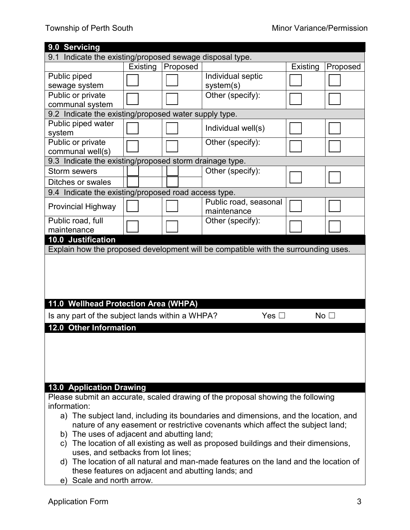| 9.0 Servicing                                                                          |          |          |                                                                                    |          |                 |
|----------------------------------------------------------------------------------------|----------|----------|------------------------------------------------------------------------------------|----------|-----------------|
| Indicate the existing/proposed sewage disposal type.<br>9.1                            |          |          |                                                                                    |          |                 |
|                                                                                        | Existing | Proposed |                                                                                    | Existing | Proposed        |
| Public piped                                                                           |          |          | Individual septic                                                                  |          |                 |
| sewage system                                                                          |          |          | system(s)                                                                          |          |                 |
| Public or private                                                                      |          |          | Other (specify):                                                                   |          |                 |
| communal system                                                                        |          |          |                                                                                    |          |                 |
| 9.2 Indicate the existing/proposed water supply type.                                  |          |          |                                                                                    |          |                 |
| Public piped water                                                                     |          |          | Individual well(s)                                                                 |          |                 |
| system                                                                                 |          |          |                                                                                    |          |                 |
| Public or private                                                                      |          |          | Other (specify):                                                                   |          |                 |
| communal well(s)                                                                       |          |          |                                                                                    |          |                 |
| 9.3 Indicate the existing/proposed storm drainage type.                                |          |          |                                                                                    |          |                 |
| Storm sewers                                                                           |          |          | Other (specify):                                                                   |          |                 |
| Ditches or swales                                                                      |          |          |                                                                                    |          |                 |
| 9.4 Indicate the existing/proposed road access type.                                   |          |          |                                                                                    |          |                 |
|                                                                                        |          |          | Public road, seasonal                                                              |          |                 |
| <b>Provincial Highway</b>                                                              |          |          | maintenance                                                                        |          |                 |
| Public road, full                                                                      |          |          | Other (specify):                                                                   |          |                 |
| maintenance                                                                            |          |          |                                                                                    |          |                 |
| 10.0 Justification                                                                     |          |          |                                                                                    |          |                 |
|                                                                                        |          |          | Explain how the proposed development will be compatible with the surrounding uses. |          |                 |
|                                                                                        |          |          |                                                                                    |          |                 |
|                                                                                        |          |          |                                                                                    |          |                 |
|                                                                                        |          |          |                                                                                    |          |                 |
|                                                                                        |          |          |                                                                                    |          |                 |
|                                                                                        |          |          |                                                                                    |          |                 |
| 11.0 Wellhead Protection Area (WHPA)                                                   |          |          |                                                                                    |          |                 |
| Is any part of the subject lands within a WHPA?                                        |          |          | Yes $\square$                                                                      |          | No <sub>1</sub> |
| 12.0 Other Information                                                                 |          |          |                                                                                    |          |                 |
|                                                                                        |          |          |                                                                                    |          |                 |
|                                                                                        |          |          |                                                                                    |          |                 |
|                                                                                        |          |          |                                                                                    |          |                 |
|                                                                                        |          |          |                                                                                    |          |                 |
|                                                                                        |          |          |                                                                                    |          |                 |
|                                                                                        |          |          |                                                                                    |          |                 |
| <b>13.0 Application Drawing</b>                                                        |          |          |                                                                                    |          |                 |
| Please submit an accurate, scaled drawing of the proposal showing the following        |          |          |                                                                                    |          |                 |
| information:                                                                           |          |          |                                                                                    |          |                 |
| a) The subject land, including its boundaries and dimensions, and the location, and    |          |          |                                                                                    |          |                 |
| nature of any easement or restrictive covenants which affect the subject land;         |          |          |                                                                                    |          |                 |
| b) The uses of adjacent and abutting land;                                             |          |          |                                                                                    |          |                 |
| The location of all existing as well as proposed buildings and their dimensions,<br>C) |          |          |                                                                                    |          |                 |
| uses, and setbacks from lot lines;                                                     |          |          |                                                                                    |          |                 |
| d) The location of all natural and man-made features on the land and the location of   |          |          |                                                                                    |          |                 |
| these features on adjacent and abutting lands; and                                     |          |          |                                                                                    |          |                 |
| e) Scale and north arrow.                                                              |          |          |                                                                                    |          |                 |